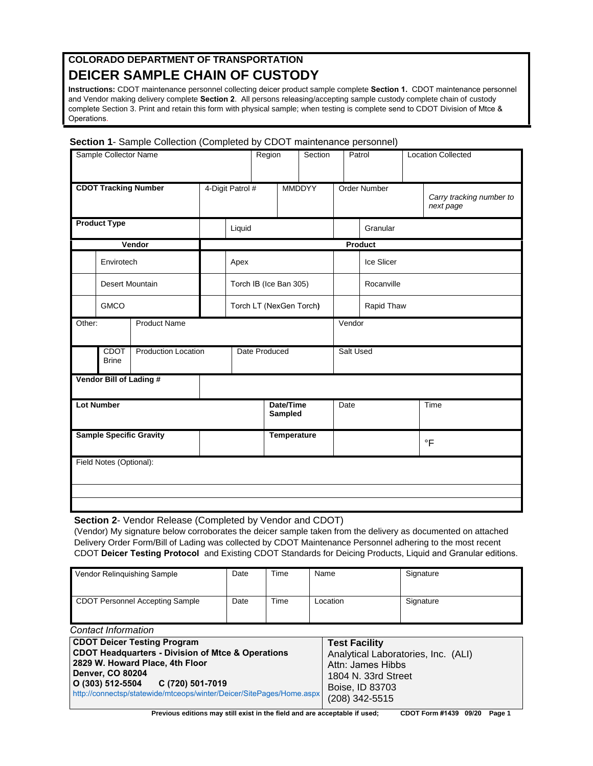## **COLORADO DEPARTMENT OF TRANSPORTATION DEICER SAMPLE CHAIN OF CUSTODY**

**Instructions:** CDOT maintenance personnel collecting deicer product sample complete **Section 1.** CDOT maintenance personnel and Vendor making delivery complete **Section 2**. All persons releasing/accepting sample custody complete chain of custody complete Section 3. Print and retain this form with physical sample; when testing is complete send to CDOT Division of Mtce & Operations.

|  |  |  | Section 1- Sample Collection (Completed by CDOT maintenance personnel) |  |
|--|--|--|------------------------------------------------------------------------|--|
|  |  |  |                                                                        |  |

| Sample Collector Name                                     |                         |        |                  | Region                       |        |                         | Section      |                | Patrol     |                                       | <b>Location Collected</b> |
|-----------------------------------------------------------|-------------------------|--------|------------------|------------------------------|--------|-------------------------|--------------|----------------|------------|---------------------------------------|---------------------------|
| <b>CDOT Tracking Number</b>                               |                         |        | 4-Digit Patrol # |                              | MMDDYY |                         | Order Number |                |            | Carry tracking number to<br>next page |                           |
| <b>Product Type</b>                                       |                         |        | Liquid           |                              |        |                         |              | Granular       |            |                                       |                           |
|                                                           |                         | Vendor | Product          |                              |        |                         |              |                |            |                                       |                           |
|                                                           | Envirotech              |        |                  | Apex                         |        |                         |              | Ice Slicer     |            |                                       |                           |
|                                                           | Desert Mountain         |        |                  | Torch IB (Ice Ban 305)       |        |                         |              | Rocanville     |            |                                       |                           |
|                                                           | <b>GMCO</b>             |        |                  |                              |        | Torch LT (NexGen Torch) |              |                | Rapid Thaw |                                       |                           |
| <b>Product Name</b><br>Other:                             |                         |        |                  |                              |        |                         |              | Vendor         |            |                                       |                           |
| <b>CDOT</b><br><b>Production Location</b><br><b>Brine</b> |                         |        | Date Produced    |                              |        | Salt Used               |              |                |            |                                       |                           |
|                                                           | Vendor Bill of Lading # |        |                  |                              |        |                         |              |                |            |                                       |                           |
| <b>Lot Number</b>                                         |                         |        |                  | Date/Time<br>Date<br>Sampled |        | Time                    |              |                |            |                                       |                           |
| <b>Sample Specific Gravity</b>                            |                         |        |                  | Temperature                  |        |                         |              | $\overline{F}$ |            |                                       |                           |
|                                                           | Field Notes (Optional): |        |                  |                              |        |                         |              |                |            |                                       |                           |
|                                                           |                         |        |                  |                              |        |                         |              |                |            |                                       |                           |

**Section 2**- Vendor Release (Completed by Vendor and CDOT)

(Vendor) My signature below corroborates the deicer sample taken from the delivery as documented on attached Delivery Order Form/Bill of Lading was collected by CDOT Maintenance Personnel adhering to the most recent CDOT **Deicer Testing Protocol** and Existing CDOT Standards for Deicing Products, Liquid and Granular editions.

| Vendor Relinquishing Sample     | Date | Time | Name     | Signature |  |
|---------------------------------|------|------|----------|-----------|--|
| CDOT Personnel Accepting Sample | Date | Time | Location | Signature |  |

| Coniact Information                                                  |                                     |  |  |
|----------------------------------------------------------------------|-------------------------------------|--|--|
| <b>CDOT Deicer Testing Program</b>                                   | <b>Test Facility</b>                |  |  |
| <b>CDOT Headquarters - Division of Mtce &amp; Operations</b>         | Analytical Laboratories, Inc. (ALI) |  |  |
| 2829 W. Howard Place, 4th Floor                                      | Attn: James Hibbs                   |  |  |
| Denver, CO 80204                                                     | 1804 N. 33rd Street                 |  |  |
| O (303) 512-5504 C (720) 501-7019                                    | Boise, ID 83703                     |  |  |
| http://connectsp/statewide/mtceops/winter/Deicer/SitePages/Home.aspx | (208) 342-5515                      |  |  |

**Previous editions may still exist in the field and are acceptable if used; CDOT Form #1439 09/20 Page 1**